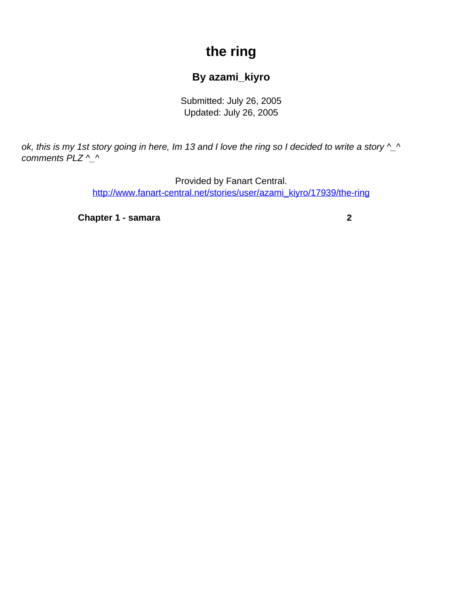## **the ring**

## **By azami\_kiyro**

Submitted: July 26, 2005 Updated: July 26, 2005

<span id="page-0-0"></span>ok, this is my 1st story going in here, Im 13 and I love the ring so I decided to write a story  $\wedge\_\wedge$ comments PLZ ^\_^

> Provided by Fanart Central. [http://www.fanart-central.net/stories/user/azami\\_kiyro/17939/the-ring](#page-0-0)

**[Chapter 1 - samara](#page-1-0) [2](#page-1-0)**